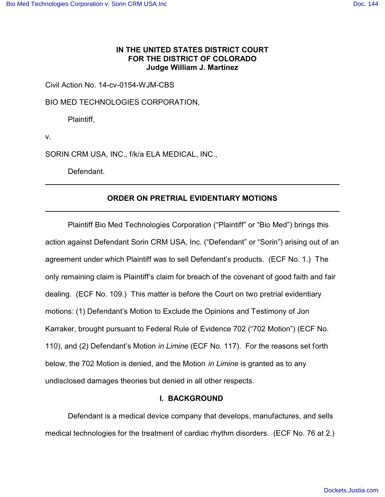# **IN THE UNITED STATES DISTRICT COURT FOR THE DISTRICT OF COLORADO Judge William J. Martínez**

Civil Action No. 14-cv-0154-WJM-CBS

BIO MED TECHNOLOGIES CORPORATION,

Plaintiff,

v.

SORIN CRM USA, INC., f/k/a ELA MEDICAL, INC.,

Defendant.

## **ORDER ON PRETRIAL EVIDENTIARY MOTIONS**

Plaintiff Bio Med Technologies Corporation ("Plaintiff" or "Bio Med") brings this action against Defendant Sorin CRM USA, Inc. ("Defendant" or "Sorin") arising out of an agreement under which Plaintiff was to sell Defendant's products. (ECF No. 1.) The only remaining claim is Plaintiff's claim for breach of the covenant of good faith and fair dealing. (ECF No. 109.) This matter is before the Court on two pretrial evidentiary motions: (1) Defendant's Motion to Exclude the Opinions and Testimony of Jon Karraker, brought pursuant to Federal Rule of Evidence 702 ("702 Motion") (ECF No. 110), and (2) Defendant's Motion *in Limine* (ECF No. 117). For the reasons set forth below, the 702 Motion is denied, and the Motion *in Limine* is granted as to any undisclosed damages theories but denied in all other respects.

## **I. BACKGROUND**

Defendant is a medical device company that develops, manufactures, and sells medical technologies for the treatment of cardiac rhythm disorders. (ECF No. 76 at 2.)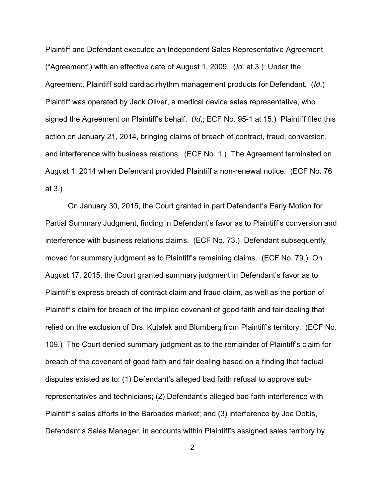Plaintiff and Defendant executed an Independent Sales Representative Agreement ("Agreement") with an effective date of August 1, 2009. (*Id*. at 3.) Under the Agreement, Plaintiff sold cardiac rhythm management products for Defendant. (*Id*.) Plaintiff was operated by Jack Oliver, a medical device sales representative, who signed the Agreement on Plaintiff's behalf. (*Id*.; ECF No. 95-1 at 15.) Plaintiff filed this action on January 21, 2014, bringing claims of breach of contract, fraud, conversion, and interference with business relations. (ECF No. 1.) The Agreement terminated on August 1, 2014 when Defendant provided Plaintiff a non-renewal notice. (ECF No. 76 at 3.)

On January 30, 2015, the Court granted in part Defendant's Early Motion for Partial Summary Judgment, finding in Defendant's favor as to Plaintiff's conversion and interference with business relations claims. (ECF No. 73.) Defendant subsequently moved for summary judgment as to Plaintiff's remaining claims. (ECF No. 79.) On August 17, 2015, the Court granted summary judgment in Defendant's favor as to Plaintiff's express breach of contract claim and fraud claim, as well as the portion of Plaintiff's claim for breach of the implied covenant of good faith and fair dealing that relied on the exclusion of Drs. Kutalek and Blumberg from Plaintiff's territory. (ECF No. 109.) The Court denied summary judgment as to the remainder of Plaintiff's claim for breach of the covenant of good faith and fair dealing based on a finding that factual disputes existed as to: (1) Defendant's alleged bad faith refusal to approve subrepresentatives and technicians; (2) Defendant's alleged bad faith interference with Plaintiff's sales efforts in the Barbados market; and (3) interference by Joe Dobis, Defendant's Sales Manager, in accounts within Plaintiff's assigned sales territory by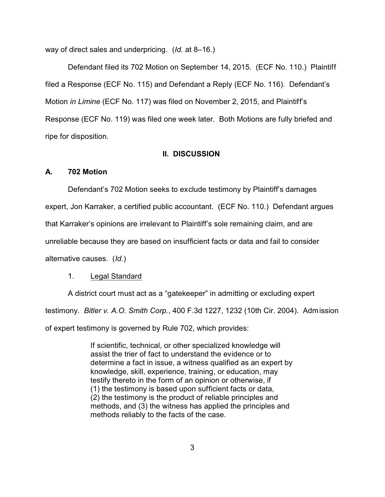way of direct sales and underpricing. (*Id.* at 8–16.)

Defendant filed its 702 Motion on September 14, 2015. (ECF No. 110.) Plaintiff filed a Response (ECF No. 115) and Defendant a Reply (ECF No. 116). Defendant's Motion *in Limine* (ECF No. 117) was filed on November 2, 2015, and Plaintiff's Response (ECF No. 119) was filed one week later. Both Motions are fully briefed and ripe for disposition.

### **II. DISCUSSION**

## **A. 702 Motion**

Defendant's 702 Motion seeks to exclude testimony by Plaintiff's damages

expert, Jon Karraker, a certified public accountant. (ECF No. 110.) Defendant argues

that Karraker's opinions are irrelevant to Plaintiff's sole remaining claim, and are

unreliable because they are based on insufficient facts or data and fail to consider

alternative causes. (*Id.*)

### 1. Legal Standard

A district court must act as a "gatekeeper" in admitting or excluding expert testimony. *Bitler v. A.O. Smith Corp.*, 400 F.3d 1227, 1232 (10th Cir. 2004). Admission of expert testimony is governed by Rule 702, which provides:

> If scientific, technical, or other specialized knowledge will assist the trier of fact to understand the evidence or to determine a fact in issue, a witness qualified as an expert by knowledge, skill, experience, training, or education, may testify thereto in the form of an opinion or otherwise, if (1) the testimony is based upon sufficient facts or data, (2) the testimony is the product of reliable principles and methods, and (3) the witness has applied the principles and methods reliably to the facts of the case.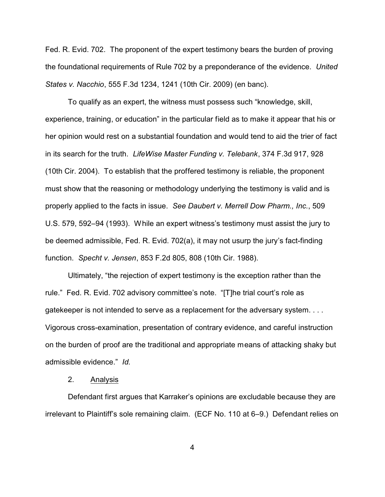Fed. R. Evid. 702. The proponent of the expert testimony bears the burden of proving the foundational requirements of Rule 702 by a preponderance of the evidence. *United States v. Nacchio*, 555 F.3d 1234, 1241 (10th Cir. 2009) (en banc).

To qualify as an expert, the witness must possess such "knowledge, skill, experience, training, or education" in the particular field as to make it appear that his or her opinion would rest on a substantial foundation and would tend to aid the trier of fact in its search for the truth. *LifeWise Master Funding v. Telebank*, 374 F.3d 917, 928 (10th Cir. 2004). To establish that the proffered testimony is reliable, the proponent must show that the reasoning or methodology underlying the testimony is valid and is properly applied to the facts in issue. *See Daubert v. Merrell Dow Pharm., Inc.*, 509 U.S. 579, 592–94 (1993). While an expert witness's testimony must assist the jury to be deemed admissible, Fed. R. Evid. 702(a), it may not usurp the jury's fact-finding function. *Specht v. Jensen*, 853 F.2d 805, 808 (10th Cir. 1988).

Ultimately, "the rejection of expert testimony is the exception rather than the rule." Fed. R. Evid. 702 advisory committee's note. "[T]he trial court's role as gatekeeper is not intended to serve as a replacement for the adversary system. . . . Vigorous cross-examination, presentation of contrary evidence, and careful instruction on the burden of proof are the traditional and appropriate means of attacking shaky but admissible evidence." *Id.*

### 2. Analysis

Defendant first argues that Karraker's opinions are excludable because they are irrelevant to Plaintiff's sole remaining claim. (ECF No. 110 at 6–9.) Defendant relies on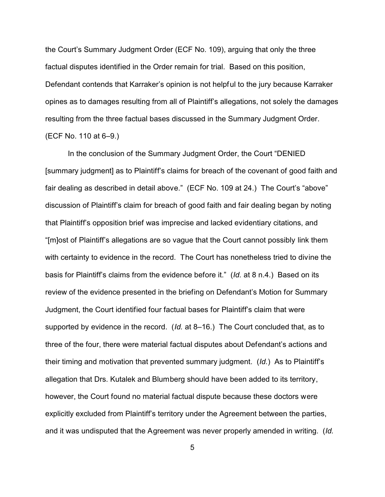the Court's Summary Judgment Order (ECF No. 109), arguing that only the three factual disputes identified in the Order remain for trial. Based on this position, Defendant contends that Karraker's opinion is not helpful to the jury because Karraker opines as to damages resulting from all of Plaintiff's allegations, not solely the damages resulting from the three factual bases discussed in the Summary Judgment Order. (ECF No. 110 at 6–9.)

In the conclusion of the Summary Judgment Order, the Court "DENIED [summary judgment] as to Plaintiff's claims for breach of the covenant of good faith and fair dealing as described in detail above." (ECF No. 109 at 24.) The Court's "above" discussion of Plaintiff's claim for breach of good faith and fair dealing began by noting that Plaintiff's opposition brief was imprecise and lacked evidentiary citations, and "[m]ost of Plaintiff's allegations are so vague that the Court cannot possibly link them with certainty to evidence in the record. The Court has nonetheless tried to divine the basis for Plaintiff's claims from the evidence before it." (*Id.* at 8 n.4.) Based on its review of the evidence presented in the briefing on Defendant's Motion for Summary Judgment, the Court identified four factual bases for Plaintiff's claim that were supported by evidence in the record. (*Id.* at 8–16.) The Court concluded that, as to three of the four, there were material factual disputes about Defendant's actions and their timing and motivation that prevented summary judgment. (*Id.*) As to Plaintiff's allegation that Drs. Kutalek and Blumberg should have been added to its territory, however, the Court found no material factual dispute because these doctors were explicitly excluded from Plaintiff's territory under the Agreement between the parties, and it was undisputed that the Agreement was never properly amended in writing. (*Id.*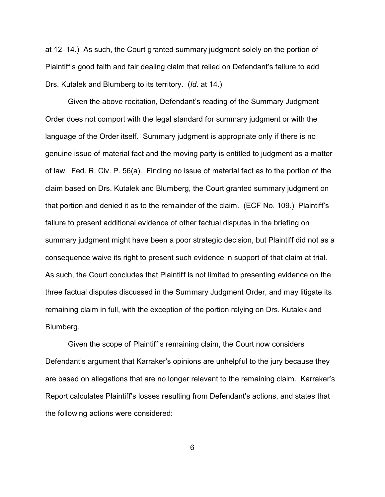at 12–14.) As such, the Court granted summary judgment solely on the portion of Plaintiff's good faith and fair dealing claim that relied on Defendant's failure to add Drs. Kutalek and Blumberg to its territory. (*Id.* at 14.)

Given the above recitation, Defendant's reading of the Summary Judgment Order does not comport with the legal standard for summary judgment or with the language of the Order itself. Summary judgment is appropriate only if there is no genuine issue of material fact and the moving party is entitled to judgment as a matter of law. Fed. R. Civ. P. 56(a). Finding no issue of material fact as to the portion of the claim based on Drs. Kutalek and Blumberg, the Court granted summary judgment on that portion and denied it as to the remainder of the claim. (ECF No. 109.) Plaintiff's failure to present additional evidence of other factual disputes in the briefing on summary judgment might have been a poor strategic decision, but Plaintiff did not as a consequence waive its right to present such evidence in support of that claim at trial. As such, the Court concludes that Plaintiff is not limited to presenting evidence on the three factual disputes discussed in the Summary Judgment Order, and may litigate its remaining claim in full, with the exception of the portion relying on Drs. Kutalek and Blumberg.

Given the scope of Plaintiff's remaining claim, the Court now considers Defendant's argument that Karraker's opinions are unhelpful to the jury because they are based on allegations that are no longer relevant to the remaining claim. Karraker's Report calculates Plaintiff's losses resulting from Defendant's actions, and states that the following actions were considered: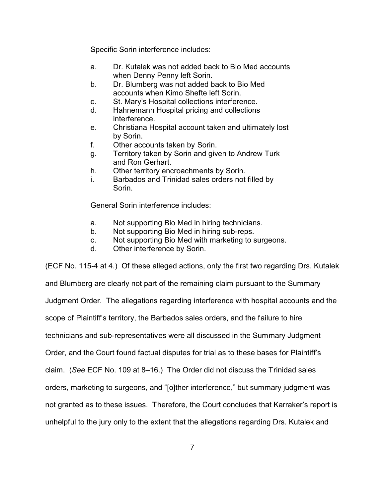Specific Sorin interference includes:

- a. Dr. Kutalek was not added back to Bio Med accounts when Denny Penny left Sorin.
- b. Dr. Blumberg was not added back to Bio Med accounts when Kimo Shefte left Sorin.
- c. St. Mary's Hospital collections interference.
- d. Hahnemann Hospital pricing and collections interference.
- e. Christiana Hospital account taken and ultimately lost by Sorin.
- f. Other accounts taken by Sorin.
- g. Territory taken by Sorin and given to Andrew Turk and Ron Gerhart.
- h. Other territory encroachments by Sorin.
- i. Barbados and Trinidad sales orders not filled by Sorin.

General Sorin interference includes:

- a. Not supporting Bio Med in hiring technicians.
- b. Not supporting Bio Med in hiring sub-reps.
- c. Not supporting Bio Med with marketing to surgeons.
- d. Other interference by Sorin.

(ECF No. 115-4 at 4.) Of these alleged actions, only the first two regarding Drs. Kutalek

and Blumberg are clearly not part of the remaining claim pursuant to the Summary Judgment Order. The allegations regarding interference with hospital accounts and the scope of Plaintiff's territory, the Barbados sales orders, and the failure to hire technicians and sub-representatives were all discussed in the Summary Judgment Order, and the Court found factual disputes for trial as to these bases for Plaintiff's claim. (*See* ECF No. 109 at 8–16.) The Order did not discuss the Trinidad sales orders, marketing to surgeons, and "[o]ther interference," but summary judgment was not granted as to these issues. Therefore, the Court concludes that Karraker's report is unhelpful to the jury only to the extent that the allegations regarding Drs. Kutalek and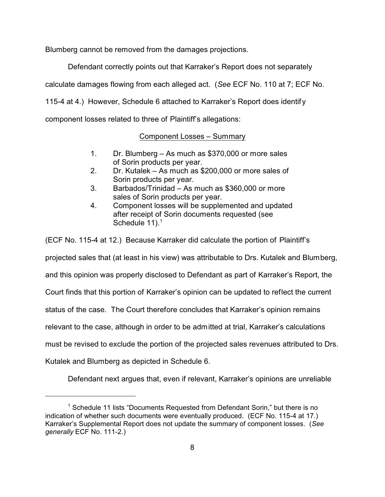Blumberg cannot be removed from the damages projections.

Defendant correctly points out that Karraker's Report does not separately

calculate damages flowing from each alleged act. (*See* ECF No. 110 at 7; ECF No.

115-4 at 4.) However, Schedule 6 attached to Karraker's Report does identify

component losses related to three of Plaintiff's allegations:

# Component Losses – Summary

- 1. Dr. Blumberg As much as \$370,000 or more sales of Sorin products per year.
- 2. Dr. Kutalek As much as \$200,000 or more sales of Sorin products per year.
- 3. Barbados/Trinidad As much as \$360,000 or more sales of Sorin products per year.
- 4. Component losses will be supplemented and updated after receipt of Sorin documents requested (see Schedule 11).<sup>1</sup>

(ECF No. 115-4 at 12.) Because Karraker did calculate the portion of Plaintiff's

projected sales that (at least in his view) was attributable to Drs. Kutalek and Blumberg,

and this opinion was properly disclosed to Defendant as part of Karraker's Report, the

Court finds that this portion of Karraker's opinion can be updated to reflect the current

status of the case. The Court therefore concludes that Karraker's opinion remains

relevant to the case, although in order to be admitted at trial, Karraker's calculations

must be revised to exclude the portion of the projected sales revenues attributed to Drs.

Kutalek and Blumberg as depicted in Schedule 6.

Defendant next argues that, even if relevant, Karraker's opinions are unreliable

<sup>&</sup>lt;sup>1</sup> Schedule 11 lists "Documents Requested from Defendant Sorin," but there is no indication of whether such documents were eventually produced. (ECF No. 115-4 at 17.) Karraker's Supplemental Report does not update the summary of component losses. (*See generally* ECF No. 111-2.)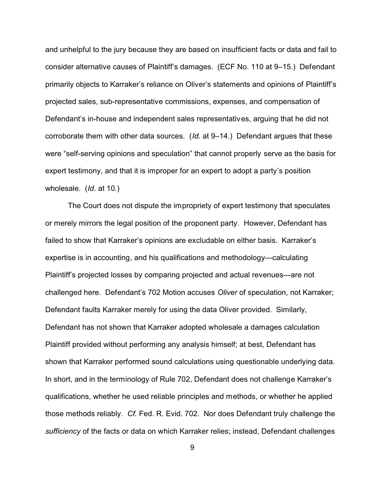and unhelpful to the jury because they are based on insufficient facts or data and fail to consider alternative causes of Plaintiff's damages. (ECF No. 110 at 9–15.) Defendant primarily objects to Karraker's reliance on Oliver's statements and opinions of Plaintiff's projected sales, sub-representative commissions, expenses, and compensation of Defendant's in-house and independent sales representatives, arguing that he did not corroborate them with other data sources. (*Id.* at 9–14.) Defendant argues that these were "self-serving opinions and speculation" that cannot properly serve as the basis for expert testimony, and that it is improper for an expert to adopt a party's position wholesale. (*Id.* at 10.)

The Court does not dispute the impropriety of expert testimony that speculates or merely mirrors the legal position of the proponent party. However, Defendant has failed to show that Karraker's opinions are excludable on either basis. Karraker's expertise is in accounting, and his qualifications and methodology—calculating Plaintiff's projected losses by comparing projected and actual revenues—are not challenged here. Defendant's 702 Motion accuses *Oliver* of speculation, not Karraker; Defendant faults Karraker merely for using the data Oliver provided. Similarly, Defendant has not shown that Karraker adopted wholesale a damages calculation Plaintiff provided without performing any analysis himself; at best, Defendant has shown that Karraker performed sound calculations using questionable underlying data. In short, and in the terminology of Rule 702, Defendant does not challenge Karraker's qualifications, whether he used reliable principles and methods, or whether he applied those methods reliably. *Cf.* Fed. R. Evid. 702. Nor does Defendant truly challenge the *sufficiency* of the facts or data on which Karraker relies; instead, Defendant challenges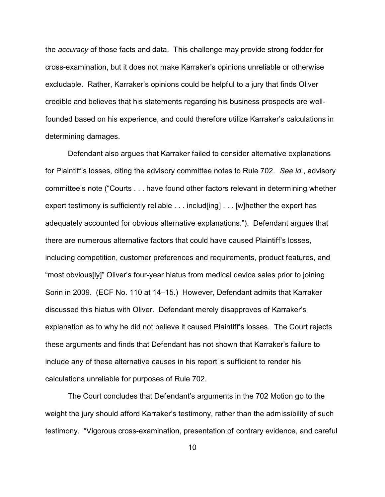the *accuracy* of those facts and data. This challenge may provide strong fodder for cross-examination, but it does not make Karraker's opinions unreliable or otherwise excludable. Rather, Karraker's opinions could be helpful to a jury that finds Oliver credible and believes that his statements regarding his business prospects are wellfounded based on his experience, and could therefore utilize Karraker's calculations in determining damages.

Defendant also argues that Karraker failed to consider alternative explanations for Plaintiff's losses, citing the advisory committee notes to Rule 702. *See id.*, advisory committee's note ("Courts . . . have found other factors relevant in determining whether expert testimony is sufficiently reliable . . . includ[ing] . . . [w]hether the expert has adequately accounted for obvious alternative explanations."). Defendant argues that there are numerous alternative factors that could have caused Plaintiff's losses, including competition, customer preferences and requirements, product features, and "most obvious[ly]" Oliver's four-year hiatus from medical device sales prior to joining Sorin in 2009. (ECF No. 110 at 14–15.) However, Defendant admits that Karraker discussed this hiatus with Oliver. Defendant merely disapproves of Karraker's explanation as to why he did not believe it caused Plaintiff's losses. The Court rejects these arguments and finds that Defendant has not shown that Karraker's failure to include any of these alternative causes in his report is sufficient to render his calculations unreliable for purposes of Rule 702.

The Court concludes that Defendant's arguments in the 702 Motion go to the weight the jury should afford Karraker's testimony, rather than the admissibility of such testimony. "Vigorous cross-examination, presentation of contrary evidence, and careful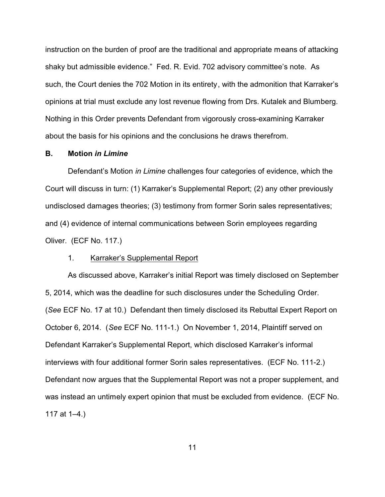instruction on the burden of proof are the traditional and appropriate means of attacking shaky but admissible evidence." Fed. R. Evid. 702 advisory committee's note. As such, the Court denies the 702 Motion in its entirety, with the admonition that Karraker's opinions at trial must exclude any lost revenue flowing from Drs. Kutalek and Blumberg. Nothing in this Order prevents Defendant from vigorously cross-examining Karraker about the basis for his opinions and the conclusions he draws therefrom.

### **B. Motion** *in Limine*

Defendant's Motion *in Limine* challenges four categories of evidence, which the Court will discuss in turn: (1) Karraker's Supplemental Report; (2) any other previously undisclosed damages theories; (3) testimony from former Sorin sales representatives; and (4) evidence of internal communications between Sorin employees regarding Oliver. (ECF No. 117.)

### 1. Karraker's Supplemental Report

As discussed above, Karraker's initial Report was timely disclosed on September 5, 2014, which was the deadline for such disclosures under the Scheduling Order. (*See* ECF No. 17 at 10.) Defendant then timely disclosed its Rebuttal Expert Report on October 6, 2014. (*See* ECF No. 111-1.) On November 1, 2014, Plaintiff served on Defendant Karraker's Supplemental Report, which disclosed Karraker's informal interviews with four additional former Sorin sales representatives. (ECF No. 111-2.) Defendant now argues that the Supplemental Report was not a proper supplement, and was instead an untimely expert opinion that must be excluded from evidence. (ECF No. 117 at 1–4.)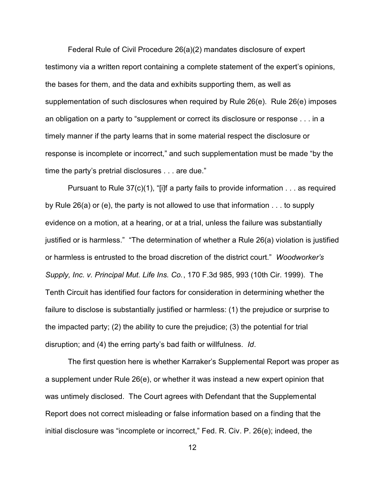Federal Rule of Civil Procedure 26(a)(2) mandates disclosure of expert testimony via a written report containing a complete statement of the expert's opinions, the bases for them, and the data and exhibits supporting them, as well as supplementation of such disclosures when required by Rule 26(e). Rule 26(e) imposes an obligation on a party to "supplement or correct its disclosure or response . . . in a timely manner if the party learns that in some material respect the disclosure or response is incomplete or incorrect," and such supplementation must be made "by the time the party's pretrial disclosures . . . are due."

Pursuant to Rule  $37(c)(1)$ , "[i]f a party fails to provide information  $\dots$  as required by Rule 26(a) or (e), the party is not allowed to use that information . . . to supply evidence on a motion, at a hearing, or at a trial, unless the failure was substantially justified or is harmless." "The determination of whether a Rule 26(a) violation is justified or harmless is entrusted to the broad discretion of the district court." *Woodworker's Supply, Inc. v. Principal Mut. Life Ins. Co.*, 170 F.3d 985, 993 (10th Cir. 1999). The Tenth Circuit has identified four factors for consideration in determining whether the failure to disclose is substantially justified or harmless: (1) the prejudice or surprise to the impacted party; (2) the ability to cure the prejudice; (3) the potential for trial disruption; and (4) the erring party's bad faith or willfulness. *Id*.

The first question here is whether Karraker's Supplemental Report was proper as a supplement under Rule 26(e), or whether it was instead a new expert opinion that was untimely disclosed. The Court agrees with Defendant that the Supplemental Report does not correct misleading or false information based on a finding that the initial disclosure was "incomplete or incorrect," Fed. R. Civ. P. 26(e); indeed, the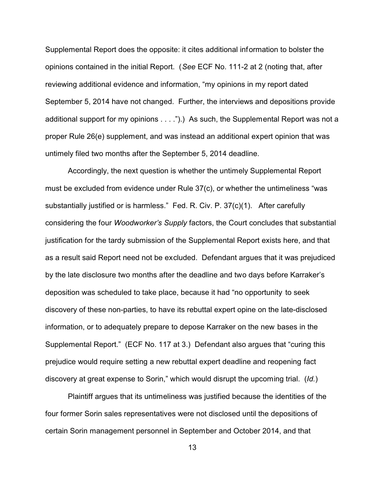Supplemental Report does the opposite: it cites additional information to bolster the opinions contained in the initial Report. (*See* ECF No. 111-2 at 2 (noting that, after reviewing additional evidence and information, "my opinions in my report dated September 5, 2014 have not changed. Further, the interviews and depositions provide additional support for my opinions . . . .").) As such, the Supplemental Report was not a proper Rule 26(e) supplement, and was instead an additional expert opinion that was untimely filed two months after the September 5, 2014 deadline.

Accordingly, the next question is whether the untimely Supplemental Report must be excluded from evidence under Rule 37(c), or whether the untimeliness "was substantially justified or is harmless." Fed. R. Civ. P. 37(c)(1). After carefully considering the four *Woodworker's Supply* factors, the Court concludes that substantial justification for the tardy submission of the Supplemental Report exists here, and that as a result said Report need not be excluded. Defendant argues that it was prejudiced by the late disclosure two months after the deadline and two days before Karraker's deposition was scheduled to take place, because it had "no opportunity to seek discovery of these non-parties, to have its rebuttal expert opine on the late-disclosed information, or to adequately prepare to depose Karraker on the new bases in the Supplemental Report." (ECF No. 117 at 3.) Defendant also argues that "curing this prejudice would require setting a new rebuttal expert deadline and reopening fact discovery at great expense to Sorin," which would disrupt the upcoming trial. (*Id.*)

Plaintiff argues that its untimeliness was justified because the identities of the four former Sorin sales representatives were not disclosed until the depositions of certain Sorin management personnel in September and October 2014, and that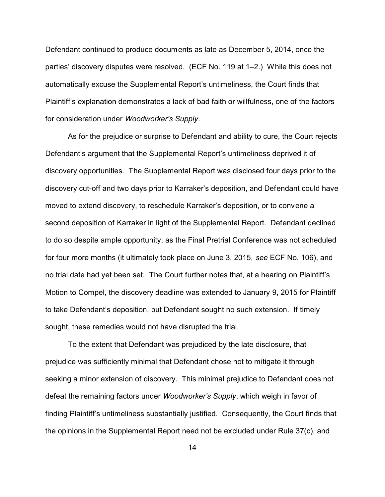Defendant continued to produce documents as late as December 5, 2014, once the parties' discovery disputes were resolved. (ECF No. 119 at 1–2.) While this does not automatically excuse the Supplemental Report's untimeliness, the Court finds that Plaintiff's explanation demonstrates a lack of bad faith or willfulness, one of the factors for consideration under *Woodworker's Supply*.

As for the prejudice or surprise to Defendant and ability to cure, the Court rejects Defendant's argument that the Supplemental Report's untimeliness deprived it of discovery opportunities. The Supplemental Report was disclosed four days prior to the discovery cut-off and two days prior to Karraker's deposition, and Defendant could have moved to extend discovery, to reschedule Karraker's deposition, or to convene a second deposition of Karraker in light of the Supplemental Report. Defendant declined to do so despite ample opportunity, as the Final Pretrial Conference was not scheduled for four more months (it ultimately took place on June 3, 2015, *see* ECF No. 106), and no trial date had yet been set. The Court further notes that, at a hearing on Plaintiff's Motion to Compel, the discovery deadline was extended to January 9, 2015 for Plaintiff to take Defendant's deposition, but Defendant sought no such extension. If timely sought, these remedies would not have disrupted the trial.

To the extent that Defendant was prejudiced by the late disclosure, that prejudice was sufficiently minimal that Defendant chose not to mitigate it through seeking a minor extension of discovery. This minimal prejudice to Defendant does not defeat the remaining factors under *Woodworker's Supply*, which weigh in favor of finding Plaintiff's untimeliness substantially justified. Consequently, the Court finds that the opinions in the Supplemental Report need not be excluded under Rule 37(c), and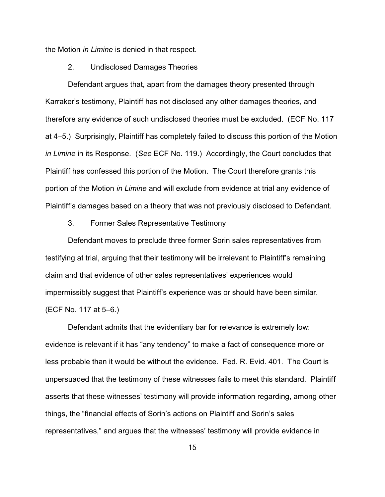the Motion *in Limine* is denied in that respect.

### 2. Undisclosed Damages Theories

Defendant argues that, apart from the damages theory presented through Karraker's testimony, Plaintiff has not disclosed any other damages theories, and therefore any evidence of such undisclosed theories must be excluded. (ECF No. 117 at 4–5.) Surprisingly, Plaintiff has completely failed to discuss this portion of the Motion *in Limine* in its Response. (*See* ECF No. 119.) Accordingly, the Court concludes that Plaintiff has confessed this portion of the Motion. The Court therefore grants this portion of the Motion *in Limine* and will exclude from evidence at trial any evidence of Plaintiff's damages based on a theory that was not previously disclosed to Defendant.

### 3. Former Sales Representative Testimony

Defendant moves to preclude three former Sorin sales representatives from testifying at trial, arguing that their testimony will be irrelevant to Plaintiff's remaining claim and that evidence of other sales representatives' experiences would impermissibly suggest that Plaintiff's experience was or should have been similar. (ECF No. 117 at 5–6.)

Defendant admits that the evidentiary bar for relevance is extremely low: evidence is relevant if it has "any tendency" to make a fact of consequence more or less probable than it would be without the evidence. Fed. R. Evid. 401. The Court is unpersuaded that the testimony of these witnesses fails to meet this standard. Plaintiff asserts that these witnesses' testimony will provide information regarding, among other things, the "financial effects of Sorin's actions on Plaintiff and Sorin's sales representatives," and argues that the witnesses' testimony will provide evidence in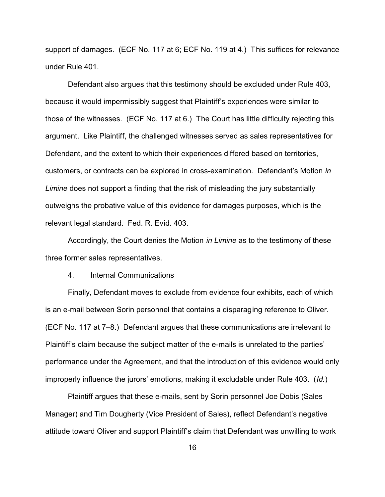support of damages. (ECF No. 117 at 6; ECF No. 119 at 4.) This suffices for relevance under Rule 401.

Defendant also argues that this testimony should be excluded under Rule 403, because it would impermissibly suggest that Plaintiff's experiences were similar to those of the witnesses. (ECF No. 117 at 6.) The Court has little difficulty rejecting this argument. Like Plaintiff, the challenged witnesses served as sales representatives for Defendant, and the extent to which their experiences differed based on territories, customers, or contracts can be explored in cross-examination. Defendant's Motion *in Limine* does not support a finding that the risk of misleading the jury substantially outweighs the probative value of this evidence for damages purposes, which is the relevant legal standard. Fed. R. Evid. 403.

Accordingly, the Court denies the Motion *in Limine* as to the testimony of these three former sales representatives.

### 4. Internal Communications

Finally, Defendant moves to exclude from evidence four exhibits, each of which is an e-mail between Sorin personnel that contains a disparaging reference to Oliver. (ECF No. 117 at 7–8.) Defendant argues that these communications are irrelevant to Plaintiff's claim because the subject matter of the e-mails is unrelated to the parties' performance under the Agreement, and that the introduction of this evidence would only improperly influence the jurors' emotions, making it excludable under Rule 403. (*Id.*)

Plaintiff argues that these e-mails, sent by Sorin personnel Joe Dobis (Sales Manager) and Tim Dougherty (Vice President of Sales), reflect Defendant's negative attitude toward Oliver and support Plaintiff's claim that Defendant was unwilling to work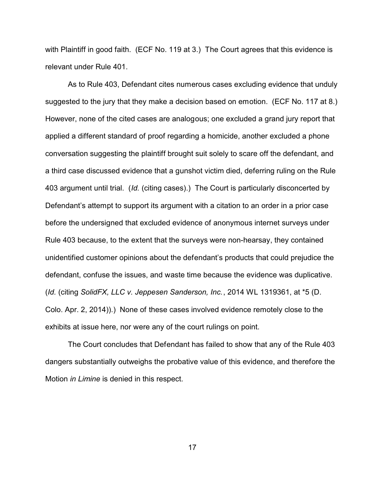with Plaintiff in good faith. (ECF No. 119 at 3.) The Court agrees that this evidence is relevant under Rule 401.

As to Rule 403, Defendant cites numerous cases excluding evidence that unduly suggested to the jury that they make a decision based on emotion. (ECF No. 117 at 8.) However, none of the cited cases are analogous; one excluded a grand jury report that applied a different standard of proof regarding a homicide, another excluded a phone conversation suggesting the plaintiff brought suit solely to scare off the defendant, and a third case discussed evidence that a gunshot victim died, deferring ruling on the Rule 403 argument until trial. (*Id.* (citing cases).) The Court is particularly disconcerted by Defendant's attempt to support its argument with a citation to an order in a prior case before the undersigned that excluded evidence of anonymous internet surveys under Rule 403 because, to the extent that the surveys were non-hearsay, they contained unidentified customer opinions about the defendant's products that could prejudice the defendant, confuse the issues, and waste time because the evidence was duplicative. (*Id.* (citing *SolidFX, LLC v. Jeppesen Sanderson, Inc.*, 2014 WL 1319361, at \*5 (D. Colo. Apr. 2, 2014)).) None of these cases involved evidence remotely close to the exhibits at issue here, nor were any of the court rulings on point.

The Court concludes that Defendant has failed to show that any of the Rule 403 dangers substantially outweighs the probative value of this evidence, and therefore the Motion *in Limine* is denied in this respect.